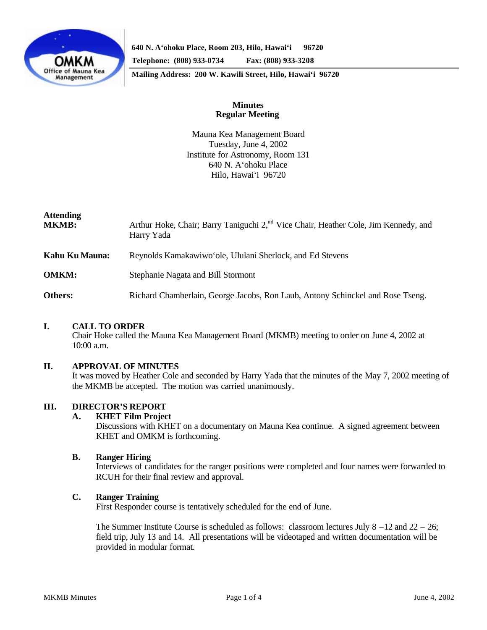

**640 N. A'ohoku Place, Room 203, Hilo, Hawai'i 96720**

**Telephone: (808) 933-0734 Fax: (808) 933-3208**

**Mailing Address: 200 W. Kawili Street, Hilo, Hawai'i 96720**

# **Minutes Regular Meeting**

Mauna Kea Management Board Tuesday, June 4, 2002 Institute for Astronomy, Room 131 640 N. A'ohoku Place Hilo, Hawai'i 96720

| <b>Attending</b><br><b>MKMB:</b> | Arthur Hoke, Chair; Barry Taniguchi 2, <sup>nd</sup> Vice Chair, Heather Cole, Jim Kennedy, and<br>Harry Yada |  |
|----------------------------------|---------------------------------------------------------------------------------------------------------------|--|
| Kahu Ku Mauna:                   | Reynolds Kamakawiwo'ole, Ululani Sherlock, and Ed Stevens                                                     |  |
| <b>OMKM:</b>                     | Stephanie Nagata and Bill Stormont                                                                            |  |
| Others:                          | Richard Chamberlain, George Jacobs, Ron Laub, Antony Schinckel and Rose Tseng.                                |  |

### **I. CALL TO ORDER**

Chair Hoke called the Mauna Kea Management Board (MKMB) meeting to order on June 4, 2002 at 10:00 a.m.

### **II. APPROVAL OF MINUTES**

It was moved by Heather Cole and seconded by Harry Yada that the minutes of the May 7, 2002 meeting of the MKMB be accepted. The motion was carried unanimously.

# **III. DIRECTOR'S REPORT**

**A. KHET Film Project**

Discussions with KHET on a documentary on Mauna Kea continue. A signed agreement between KHET and OMKM is forthcoming.

### **B. Ranger Hiring**

Interviews of candidates for the ranger positions were completed and four names were forwarded to RCUH for their final review and approval.

### **C. Ranger Training**

First Responder course is tentatively scheduled for the end of June.

The Summer Institute Course is scheduled as follows: classroom lectures July  $8 - 12$  and  $22 - 26$ ; field trip, July 13 and 14. All presentations will be videotaped and written documentation will be provided in modular format.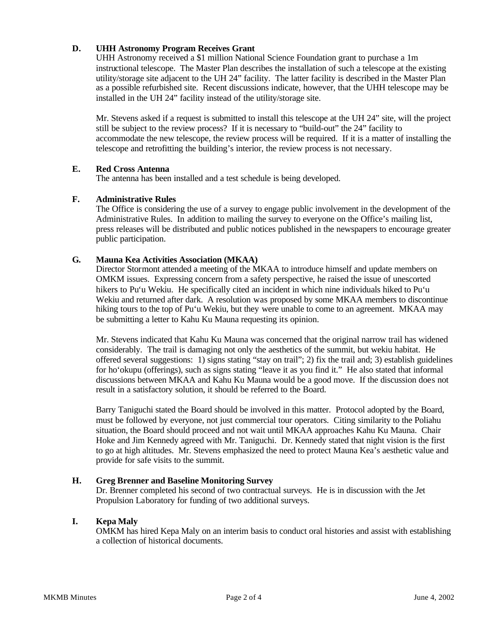# **D. UHH Astronomy Program Receives Grant**

UHH Astronomy received a \$1 million National Science Foundation grant to purchase a 1m instructional telescope. The Master Plan describes the installation of such a telescope at the existing utility/storage site adjacent to the UH 24" facility. The latter facility is described in the Master Plan as a possible refurbished site. Recent discussions indicate, however, that the UHH telescope may be installed in the UH 24" facility instead of the utility/storage site.

Mr. Stevens asked if a request is submitted to install this telescope at the UH 24" site, will the project still be subject to the review process? If it is necessary to "build-out" the 24" facility to accommodate the new telescope, the review process will be required. If it is a matter of installing the telescope and retrofitting the building's interior, the review process is not necessary.

### **E. Red Cross Antenna**

The antenna has been installed and a test schedule is being developed.

### **F. Administrative Rules**

The Office is considering the use of a survey to engage public involvement in the development of the Administrative Rules. In addition to mailing the survey to everyone on the Office's mailing list, press releases will be distributed and public notices published in the newspapers to encourage greater public participation.

### **G. Mauna Kea Activities Association (MKAA)**

Director Stormont attended a meeting of the MKAA to introduce himself and update members on OMKM issues. Expressing concern from a safety perspective, he raised the issue of unescorted hikers to Pu'u Wekiu. He specifically cited an incident in which nine individuals hiked to Pu'u Wekiu and returned after dark. A resolution was proposed by some MKAA members to discontinue hiking tours to the top of Pu'u Wekiu, but they were unable to come to an agreement. MKAA may be submitting a letter to Kahu Ku Mauna requesting its opinion.

Mr. Stevens indicated that Kahu Ku Mauna was concerned that the original narrow trail has widened considerably. The trail is damaging not only the aesthetics of the summit, but wekiu habitat. He offered several suggestions: 1) signs stating "stay on trail"; 2) fix the trail and; 3) establish guidelines for ho'okupu (offerings), such as signs stating "leave it as you find it." He also stated that informal discussions between MKAA and Kahu Ku Mauna would be a good move. If the discussion does not result in a satisfactory solution, it should be referred to the Board.

Barry Taniguchi stated the Board should be involved in this matter. Protocol adopted by the Board, must be followed by everyone, not just commercial tour operators. Citing similarity to the Poliahu situation, the Board should proceed and not wait until MKAA approaches Kahu Ku Mauna. Chair Hoke and Jim Kennedy agreed with Mr. Taniguchi. Dr. Kennedy stated that night vision is the first to go at high altitudes. Mr. Stevens emphasized the need to protect Mauna Kea's aesthetic value and provide for safe visits to the summit.

# **H. Greg Brenner and Baseline Monitoring Survey**

Dr. Brenner completed his second of two contractual surveys. He is in discussion with the Jet Propulsion Laboratory for funding of two additional surveys.

### **I. Kepa Maly**

OMKM has hired Kepa Maly on an interim basis to conduct oral histories and assist with establishing a collection of historical documents.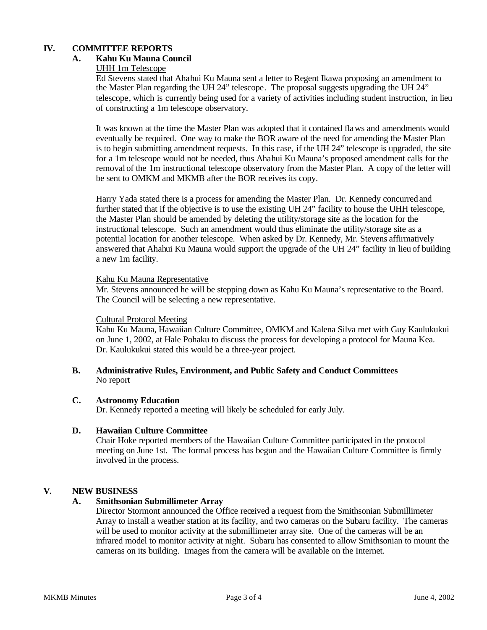# **IV. COMMITTEE REPORTS**

## **A. Kahu Ku Mauna Council**

#### UHH 1m Telescope

Ed Stevens stated that Ahahui Ku Mauna sent a letter to Regent Ikawa proposing an amendment to the Master Plan regarding the UH 24" telescope. The proposal suggests upgrading the UH 24" telescope, which is currently being used for a variety of activities including student instruction, in lieu of constructing a 1m telescope observatory.

It was known at the time the Master Plan was adopted that it contained flaws and amendments would eventually be required. One way to make the BOR aware of the need for amending the Master Plan is to begin submitting amendment requests. In this case, if the UH 24" telescope is upgraded, the site for a 1m telescope would not be needed, thus Ahahui Ku Mauna's proposed amendment calls for the removal of the 1m instructional telescope observatory from the Master Plan. A copy of the letter will be sent to OMKM and MKMB after the BOR receives its copy.

Harry Yada stated there is a process for amending the Master Plan. Dr. Kennedy concurred and further stated that if the objective is to use the existing UH 24" facility to house the UHH telescope, the Master Plan should be amended by deleting the utility/storage site as the location for the instructional telescope. Such an amendment would thus eliminate the utility/storage site as a potential location for another telescope. When asked by Dr. Kennedy, Mr. Stevens affirmatively answered that Ahahui Ku Mauna would support the upgrade of the UH 24" facility in lieu of building a new 1m facility.

#### Kahu Ku Mauna Representative

Mr. Stevens announced he will be stepping down as Kahu Ku Mauna's representative to the Board. The Council will be selecting a new representative.

### Cultural Protocol Meeting

Kahu Ku Mauna, Hawaiian Culture Committee, OMKM and Kalena Silva met with Guy Kaulukukui on June 1, 2002, at Hale Pohaku to discuss the process for developing a protocol for Mauna Kea. Dr. Kaulukukui stated this would be a three-year project.

### **B. Administrative Rules, Environment, and Public Safety and Conduct Committees** No report

### **C. Astronomy Education**

Dr. Kennedy reported a meeting will likely be scheduled for early July.

#### **D. Hawaiian Culture Committee**

Chair Hoke reported members of the Hawaiian Culture Committee participated in the protocol meeting on June 1st. The formal process has begun and the Hawaiian Culture Committee is firmly involved in the process.

# **V. NEW BUSINESS**

### **A. Smithsonian Submillimeter Array**

Director Stormont announced the Office received a request from the Smithsonian Submillimeter Array to install a weather station at its facility, and two cameras on the Subaru facility. The cameras will be used to monitor activity at the submillimeter array site. One of the cameras will be an infrared model to monitor activity at night. Subaru has consented to allow Smithsonian to mount the cameras on its building. Images from the camera will be available on the Internet.